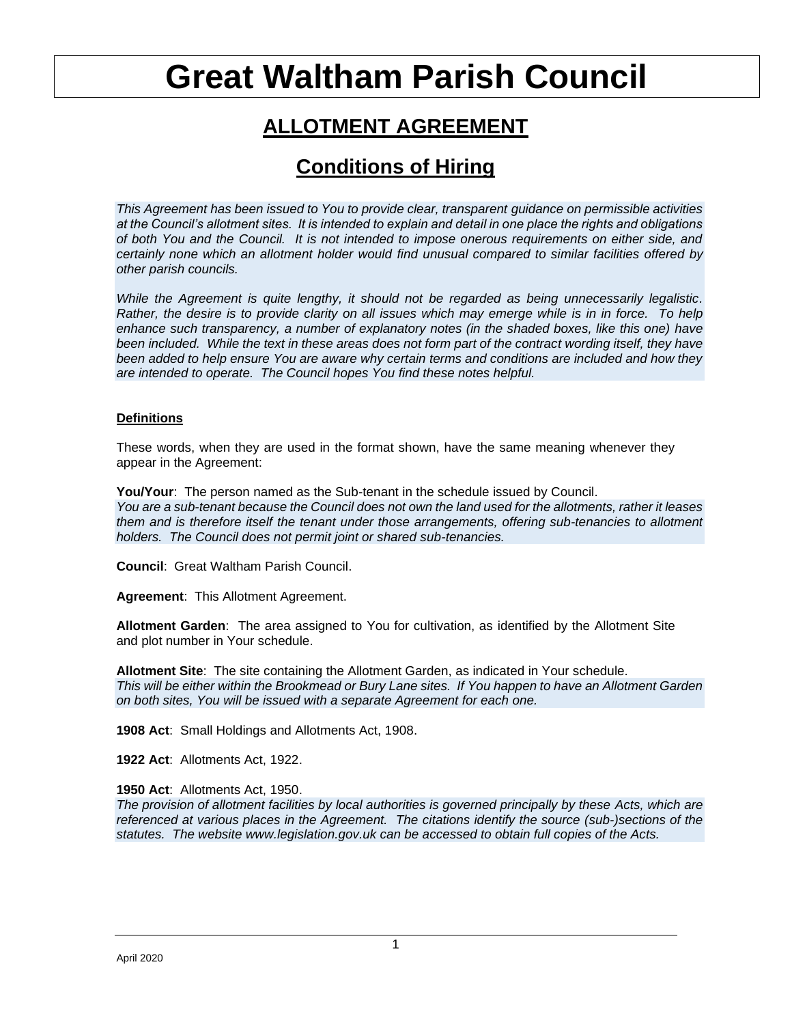# **Great Waltham Parish Council**

# **ALLOTMENT AGREEMENT**

# **Conditions of Hiring**

*This Agreement has been issued to You to provide clear, transparent guidance on permissible activities at the Council's allotment sites. It is intended to explain and detail in one place the rights and obligations of both You and the Council. It is not intended to impose onerous requirements on either side, and certainly none which an allotment holder would find unusual compared to similar facilities offered by other parish councils.* 

*While the Agreement is quite lengthy, it should not be regarded as being unnecessarily legalistic. Rather, the desire is to provide clarity on all issues which may emerge while is in in force. To help enhance such transparency, a number of explanatory notes (in the shaded boxes, like this one) have been included. While the text in these areas does not form part of the contract wording itself, they have been added to help ensure You are aware why certain terms and conditions are included and how they are intended to operate. The Council hopes You find these notes helpful.*

# **Definitions**

These words, when they are used in the format shown, have the same meaning whenever they appear in the Agreement:

**You/Your**: The person named as the Sub-tenant in the schedule issued by Council. *You are a sub-tenant because the Council does not own the land used for the allotments, rather it leases them and is therefore itself the tenant under those arrangements, offering sub-tenancies to allotment holders. The Council does not permit joint or shared sub-tenancies.*

**Council**: Great Waltham Parish Council.

**Agreement**: This Allotment Agreement.

**Allotment Garden**: The area assigned to You for cultivation, as identified by the Allotment Site and plot number in Your schedule.

**Allotment Site**: The site containing the Allotment Garden, as indicated in Your schedule. *This will be either within the Brookmead or Bury Lane sites. If You happen to have an Allotment Garden on both sites, You will be issued with a separate Agreement for each one.*

**1908 Act**: Small Holdings and Allotments Act, 1908.

**1922 Act**: Allotments Act, 1922.

# **1950 Act**: Allotments Act, 1950.

*The provision of allotment facilities by local authorities is governed principally by these Acts, which are referenced at various places in the Agreement. The citations identify the source (sub-)sections of the statutes. The website www.legislation.gov.uk can be accessed to obtain full copies of the Acts.*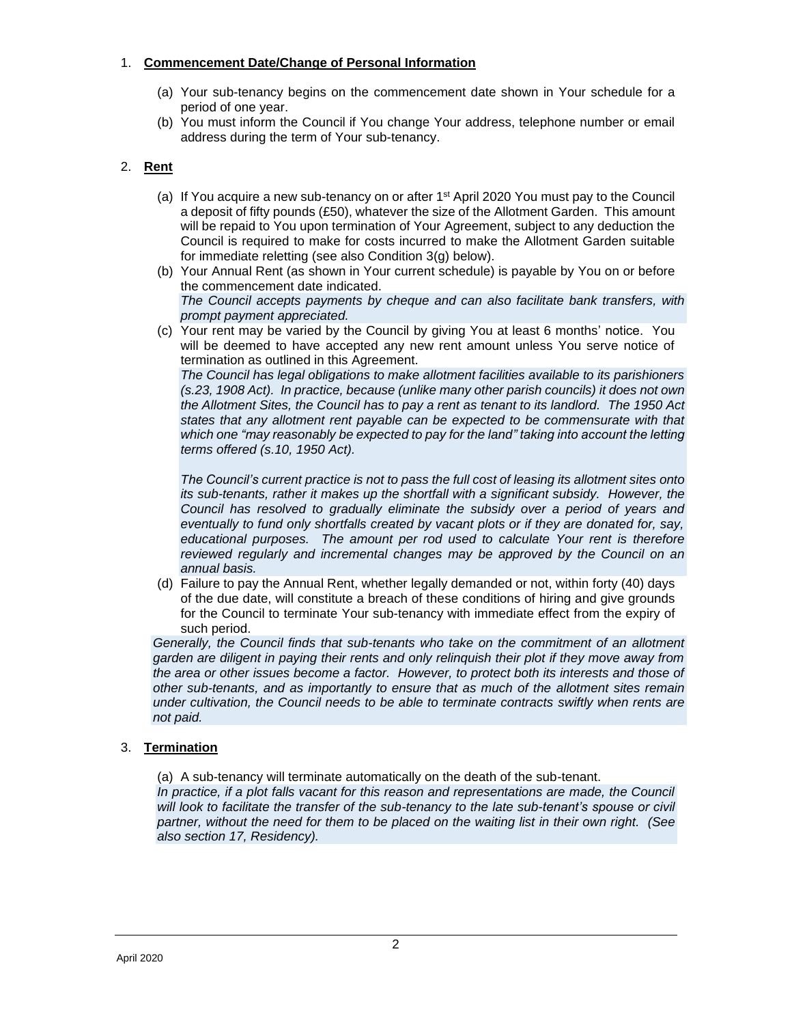# 1. **Commencement Date/Change of Personal Information**

- (a) Your sub-tenancy begins on the commencement date shown in Your schedule for a period of one year.
- (b) You must inform the Council if You change Your address, telephone number or email address during the term of Your sub-tenancy.

# 2. **Rent**

- (a) If You acquire a new sub-tenancy on or after 1st April 2020 You must pay to the Council a deposit of fifty pounds (£50), whatever the size of the Allotment Garden. This amount will be repaid to You upon termination of Your Agreement, subject to any deduction the Council is required to make for costs incurred to make the Allotment Garden suitable for immediate reletting (see also Condition 3(g) below).
- (b) Your Annual Rent (as shown in Your current schedule) is payable by You on or before the commencement date indicated. *The Council accepts payments by cheque and can also facilitate bank transfers, with prompt payment appreciated.*
- (c) Your rent may be varied by the Council by giving You at least 6 months' notice. You will be deemed to have accepted any new rent amount unless You serve notice of termination as outlined in this Agreement.

*The Council has legal obligations to make allotment facilities available to its parishioners (s.23, 1908 Act). In practice, because (unlike many other parish councils) it does not own the Allotment Sites, the Council has to pay a rent as tenant to its landlord. The 1950 Act states that any allotment rent payable can be expected to be commensurate with that which one "may reasonably be expected to pay for the land" taking into account the letting terms offered (s.10, 1950 Act).* 

*The Council's current practice is not to pass the full cost of leasing its allotment sites onto its sub-tenants, rather it makes up the shortfall with a significant subsidy. However, the Council has resolved to gradually eliminate the subsidy over a period of years and eventually to fund only shortfalls created by vacant plots or if they are donated for, say, educational purposes. The amount per rod used to calculate Your rent is therefore reviewed regularly and incremental changes may be approved by the Council on an annual basis.* 

(d) Failure to pay the Annual Rent, whether legally demanded or not, within forty (40) days of the due date, will constitute a breach of these conditions of hiring and give grounds for the Council to terminate Your sub-tenancy with immediate effect from the expiry of such period.

*Generally, the Council finds that sub-tenants who take on the commitment of an allotment garden are diligent in paying their rents and only relinquish their plot if they move away from the area or other issues become a factor. However, to protect both its interests and those of other sub-tenants, and as importantly to ensure that as much of the allotment sites remain under cultivation, the Council needs to be able to terminate contracts swiftly when rents are not paid.* 

# 3. **Termination**

(a) A sub-tenancy will terminate automatically on the death of the sub-tenant.

In practice, if a plot falls vacant for this reason and representations are made, the Council will look to facilitate the transfer of the sub-tenancy to the late sub-tenant's spouse or civil *partner, without the need for them to be placed on the waiting list in their own right. (See also section 17, Residency).*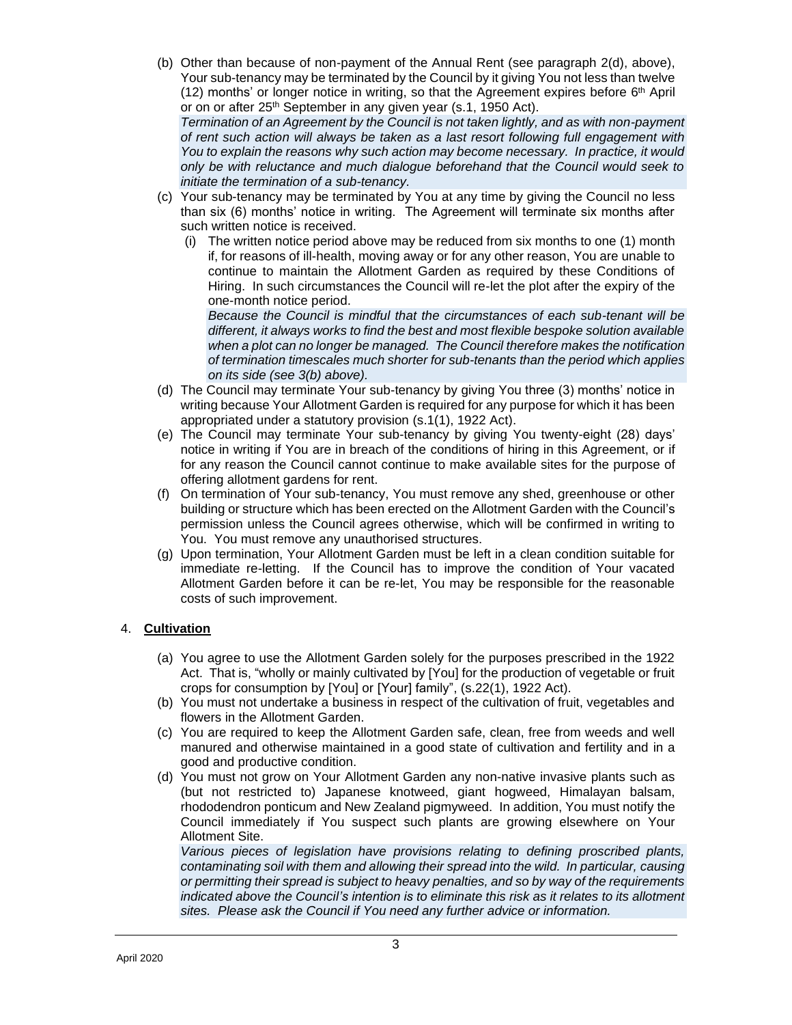- (b) Other than because of non-payment of the Annual Rent (see paragraph 2(d), above), Your sub-tenancy may be terminated by the Council by it giving You not less than twelve  $(12)$  months' or longer notice in writing, so that the Agreement expires before 6<sup>th</sup> April or on or after 25<sup>th</sup> September in any given year (s.1, 1950 Act). *Termination of an Agreement by the Council is not taken lightly, and as with non-payment of rent such action will always be taken as a last resort following full engagement with You to explain the reasons why such action may become necessary. In practice, it would only be with reluctance and much dialogue beforehand that the Council would seek to initiate the termination of a sub-tenancy.*
- (c) Your sub-tenancy may be terminated by You at any time by giving the Council no less than six (6) months' notice in writing. The Agreement will terminate six months after such written notice is received.
	- (i) The written notice period above may be reduced from six months to one (1) month if, for reasons of ill-health, moving away or for any other reason, You are unable to continue to maintain the Allotment Garden as required by these Conditions of Hiring. In such circumstances the Council will re-let the plot after the expiry of the one-month notice period.

*Because the Council is mindful that the circumstances of each sub-tenant will be different, it always works to find the best and most flexible bespoke solution available when a plot can no longer be managed. The Council therefore makes the notification of termination timescales much shorter for sub-tenants than the period which applies on its side (see 3(b) above).*

- (d) The Council may terminate Your sub-tenancy by giving You three (3) months' notice in writing because Your Allotment Garden is required for any purpose for which it has been appropriated under a statutory provision (s.1(1), 1922 Act).
- (e) The Council may terminate Your sub-tenancy by giving You twenty-eight (28) days' notice in writing if You are in breach of the conditions of hiring in this Agreement, or if for any reason the Council cannot continue to make available sites for the purpose of offering allotment gardens for rent.
- (f) On termination of Your sub-tenancy, You must remove any shed, greenhouse or other building or structure which has been erected on the Allotment Garden with the Council's permission unless the Council agrees otherwise, which will be confirmed in writing to You. You must remove any unauthorised structures.
- (g) Upon termination, Your Allotment Garden must be left in a clean condition suitable for immediate re-letting. If the Council has to improve the condition of Your vacated Allotment Garden before it can be re-let, You may be responsible for the reasonable costs of such improvement.

# 4. **Cultivation**

- (a) You agree to use the Allotment Garden solely for the purposes prescribed in the 1922 Act. That is, "wholly or mainly cultivated by [You] for the production of vegetable or fruit crops for consumption by [You] or [Your] family", (s.22(1), 1922 Act).
- (b) You must not undertake a business in respect of the cultivation of fruit, vegetables and flowers in the Allotment Garden.
- (c) You are required to keep the Allotment Garden safe, clean, free from weeds and well manured and otherwise maintained in a good state of cultivation and fertility and in a good and productive condition.
- (d) You must not grow on Your Allotment Garden any non-native invasive plants such as (but not restricted to) Japanese knotweed, giant hogweed, Himalayan balsam, rhododendron ponticum and New Zealand pigmyweed. In addition, You must notify the Council immediately if You suspect such plants are growing elsewhere on Your Allotment Site.

*Various pieces of legislation have provisions relating to defining proscribed plants, contaminating soil with them and allowing their spread into the wild. In particular, causing or permitting their spread is subject to heavy penalties, and so by way of the requirements indicated above the Council's intention is to eliminate this risk as it relates to its allotment sites. Please ask the Council if You need any further advice or information.*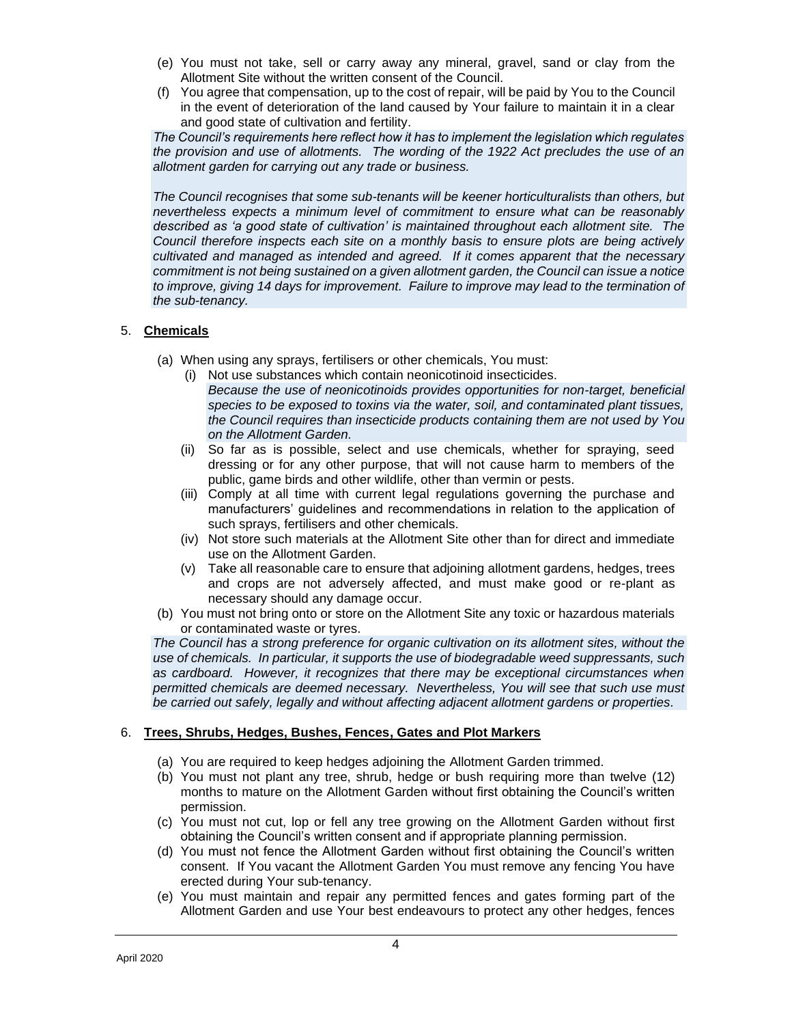- (e) You must not take, sell or carry away any mineral, gravel, sand or clay from the Allotment Site without the written consent of the Council.
- (f) You agree that compensation, up to the cost of repair, will be paid by You to the Council in the event of deterioration of the land caused by Your failure to maintain it in a clear and good state of cultivation and fertility.

*The Council's requirements here reflect how it has to implement the legislation which regulates the provision and use of allotments. The wording of the 1922 Act precludes the use of an allotment garden for carrying out any trade or business.* 

*The Council recognises that some sub-tenants will be keener horticulturalists than others, but nevertheless expects a minimum level of commitment to ensure what can be reasonably described as 'a good state of cultivation' is maintained throughout each allotment site. The Council therefore inspects each site on a monthly basis to ensure plots are being actively cultivated and managed as intended and agreed. If it comes apparent that the necessary commitment is not being sustained on a given allotment garden, the Council can issue a notice*  to improve, giving 14 days for improvement. Failure to improve may lead to the termination of *the sub-tenancy.*

# 5. **Chemicals**

- (a) When using any sprays, fertilisers or other chemicals, You must:
	- (i) Not use substances which contain neonicotinoid insecticides. *Because the use of neonicotinoids provides opportunities for non-target, beneficial species to be exposed to toxins via the water, soil, and contaminated plant tissues, the Council requires than insecticide products containing them are not used by You on the Allotment Garden.*
	- (ii) So far as is possible, select and use chemicals, whether for spraying, seed dressing or for any other purpose, that will not cause harm to members of the public, game birds and other wildlife, other than vermin or pests.
	- (iii) Comply at all time with current legal regulations governing the purchase and manufacturers' guidelines and recommendations in relation to the application of such sprays, fertilisers and other chemicals.
	- (iv) Not store such materials at the Allotment Site other than for direct and immediate use on the Allotment Garden.
	- (v) Take all reasonable care to ensure that adjoining allotment gardens, hedges, trees and crops are not adversely affected, and must make good or re-plant as necessary should any damage occur.
- (b) You must not bring onto or store on the Allotment Site any toxic or hazardous materials or contaminated waste or tyres.

*The Council has a strong preference for organic cultivation on its allotment sites, without the use of chemicals. In particular, it supports the use of biodegradable weed suppressants, such as cardboard. However, it recognizes that there may be exceptional circumstances when permitted chemicals are deemed necessary. Nevertheless, You will see that such use must be carried out safely, legally and without affecting adjacent allotment gardens or properties.*

# 6. **Trees, Shrubs, Hedges, Bushes, Fences, Gates and Plot Markers**

- (a) You are required to keep hedges adjoining the Allotment Garden trimmed.
- (b) You must not plant any tree, shrub, hedge or bush requiring more than twelve (12) months to mature on the Allotment Garden without first obtaining the Council's written permission.
- (c) You must not cut, lop or fell any tree growing on the Allotment Garden without first obtaining the Council's written consent and if appropriate planning permission.
- (d) You must not fence the Allotment Garden without first obtaining the Council's written consent. If You vacant the Allotment Garden You must remove any fencing You have erected during Your sub-tenancy.
- (e) You must maintain and repair any permitted fences and gates forming part of the Allotment Garden and use Your best endeavours to protect any other hedges, fences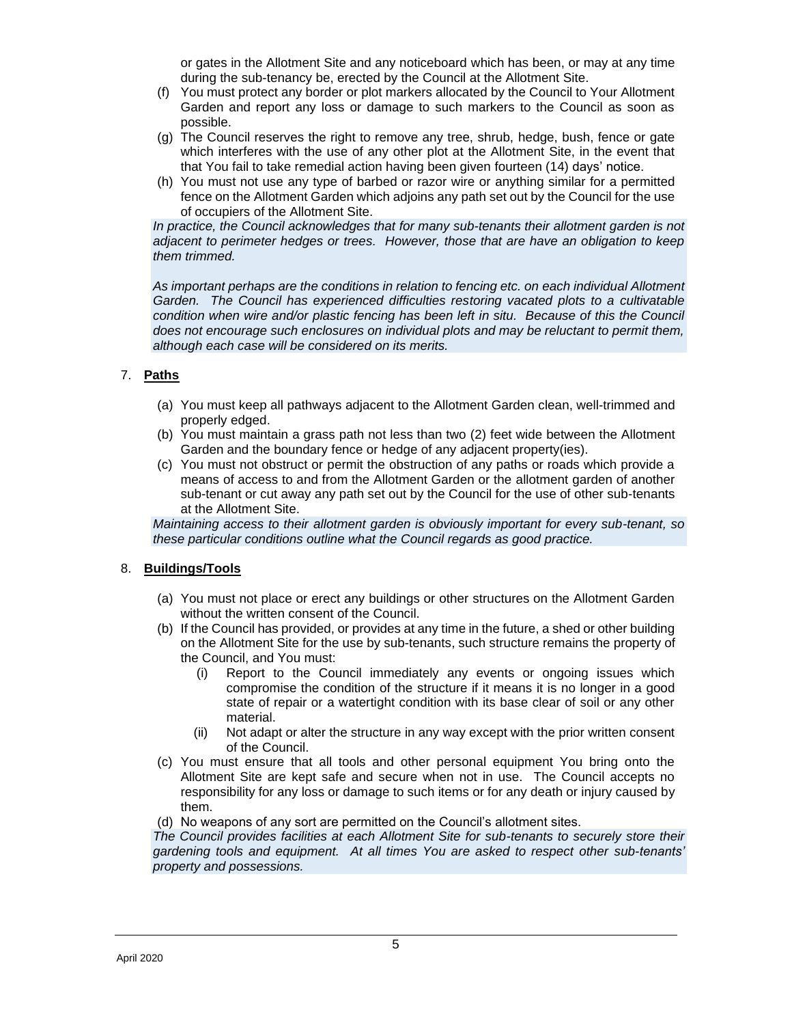or gates in the Allotment Site and any noticeboard which has been, or may at any time during the sub-tenancy be, erected by the Council at the Allotment Site.

- (f) You must protect any border or plot markers allocated by the Council to Your Allotment Garden and report any loss or damage to such markers to the Council as soon as possible.
- (g) The Council reserves the right to remove any tree, shrub, hedge, bush, fence or gate which interferes with the use of any other plot at the Allotment Site, in the event that that You fail to take remedial action having been given fourteen (14) days' notice.
- (h) You must not use any type of barbed or razor wire or anything similar for a permitted fence on the Allotment Garden which adjoins any path set out by the Council for the use of occupiers of the Allotment Site.

*In practice, the Council acknowledges that for many sub-tenants their allotment garden is not adjacent to perimeter hedges or trees. However, those that are have an obligation to keep them trimmed.*

*As important perhaps are the conditions in relation to fencing etc. on each individual Allotment Garden. The Council has experienced difficulties restoring vacated plots to a cultivatable condition when wire and/or plastic fencing has been left in situ. Because of this the Council does not encourage such enclosures on individual plots and may be reluctant to permit them, although each case will be considered on its merits.* 

# 7. **Paths**

- (a) You must keep all pathways adjacent to the Allotment Garden clean, well-trimmed and properly edged.
- (b) You must maintain a grass path not less than two (2) feet wide between the Allotment Garden and the boundary fence or hedge of any adjacent property(ies).
- (c) You must not obstruct or permit the obstruction of any paths or roads which provide a means of access to and from the Allotment Garden or the allotment garden of another sub-tenant or cut away any path set out by the Council for the use of other sub-tenants at the Allotment Site.

*Maintaining access to their allotment garden is obviously important for every sub-tenant, so these particular conditions outline what the Council regards as good practice.*

#### 8. **Buildings/Tools**

- (a) You must not place or erect any buildings or other structures on the Allotment Garden without the written consent of the Council.
- (b) If the Council has provided, or provides at any time in the future, a shed or other building on the Allotment Site for the use by sub-tenants, such structure remains the property of the Council, and You must:
	- (i) Report to the Council immediately any events or ongoing issues which compromise the condition of the structure if it means it is no longer in a good state of repair or a watertight condition with its base clear of soil or any other material.
	- (ii) Not adapt or alter the structure in any way except with the prior written consent of the Council.
- (c) You must ensure that all tools and other personal equipment You bring onto the Allotment Site are kept safe and secure when not in use. The Council accepts no responsibility for any loss or damage to such items or for any death or injury caused by them.
- (d) No weapons of any sort are permitted on the Council's allotment sites.

*The Council provides facilities at each Allotment Site for sub-tenants to securely store their gardening tools and equipment. At all times You are asked to respect other sub-tenants' property and possessions.*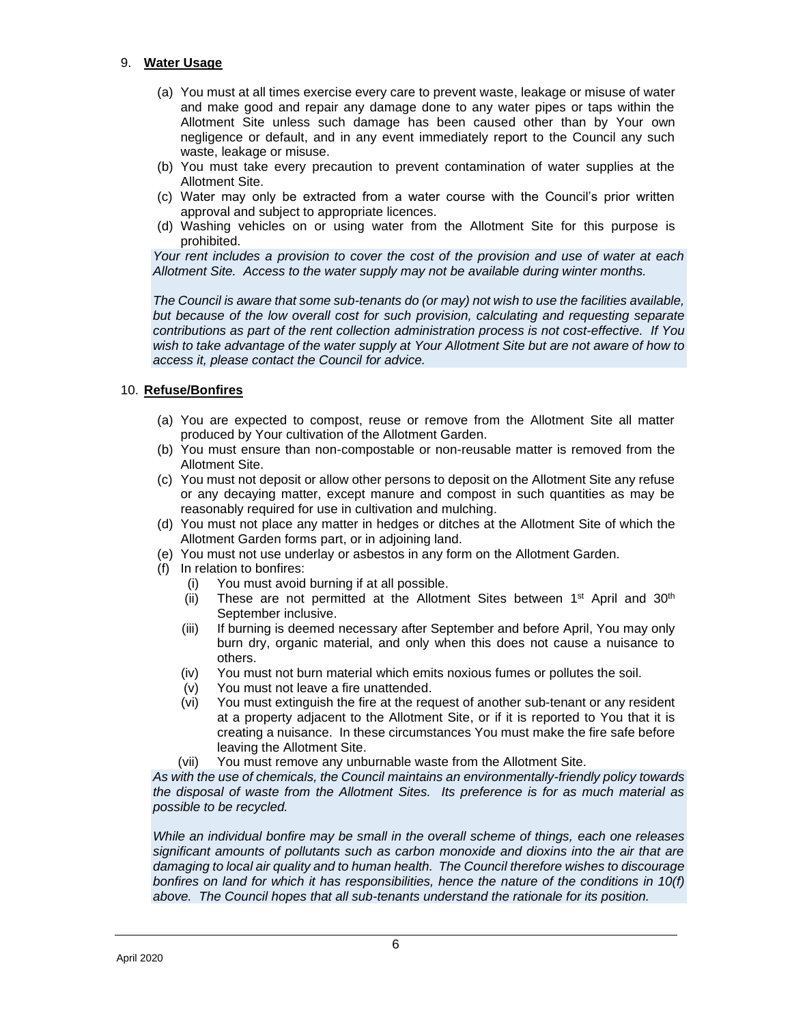#### 9. **Water Usage**

- (a) You must at all times exercise every care to prevent waste, leakage or misuse of water and make good and repair any damage done to any water pipes or taps within the Allotment Site unless such damage has been caused other than by Your own negligence or default, and in any event immediately report to the Council any such waste, leakage or misuse.
- (b) You must take every precaution to prevent contamination of water supplies at the Allotment Site.
- (c) Water may only be extracted from a water course with the Council's prior written approval and subject to appropriate licences.
- (d) Washing vehicles on or using water from the Allotment Site for this purpose is prohibited.

*Your rent includes a provision to cover the cost of the provision and use of water at each Allotment Site. Access to the water supply may not be available during winter months.*

*The Council is aware that some sub-tenants do (or may) not wish to use the facilities available, but because of the low overall cost for such provision, calculating and requesting separate contributions as part of the rent collection administration process is not cost-effective. If You wish to take advantage of the water supply at Your Allotment Site but are not aware of how to access it, please contact the Council for advice.*

#### 10. **Refuse/Bonfires**

- (a) You are expected to compost, reuse or remove from the Allotment Site all matter produced by Your cultivation of the Allotment Garden.
- (b) You must ensure than non-compostable or non-reusable matter is removed from the Allotment Site.
- (c) You must not deposit or allow other persons to deposit on the Allotment Site any refuse or any decaying matter, except manure and compost in such quantities as may be reasonably required for use in cultivation and mulching.
- (d) You must not place any matter in hedges or ditches at the Allotment Site of which the Allotment Garden forms part, or in adjoining land.
- (e) You must not use underlay or asbestos in any form on the Allotment Garden.
- (f) In relation to bonfires:
	- (i) You must avoid burning if at all possible.
	- (ii) These are not permitted at the Allotment Sites between  $1^{st}$  April and  $30^{th}$ September inclusive.
	- (iii) If burning is deemed necessary after September and before April, You may only burn dry, organic material, and only when this does not cause a nuisance to others.
	- (iv) You must not burn material which emits noxious fumes or pollutes the soil.
	- (v) You must not leave a fire unattended.
	- (vi) You must extinguish the fire at the request of another sub-tenant or any resident at a property adjacent to the Allotment Site, or if it is reported to You that it is creating a nuisance. In these circumstances You must make the fire safe before leaving the Allotment Site.
	- (vii) You must remove any unburnable waste from the Allotment Site.

*As with the use of chemicals, the Council maintains an environmentally-friendly policy towards the disposal of waste from the Allotment Sites. Its preference is for as much material as possible to be recycled.* 

*While an individual bonfire may be small in the overall scheme of things, each one releases significant amounts of pollutants such as carbon monoxide and dioxins into the air that are damaging to local air quality and to human health. The Council therefore wishes to discourage bonfires on land for which it has responsibilities, hence the nature of the conditions in 10(f) above. The Council hopes that all sub-tenants understand the rationale for its position.*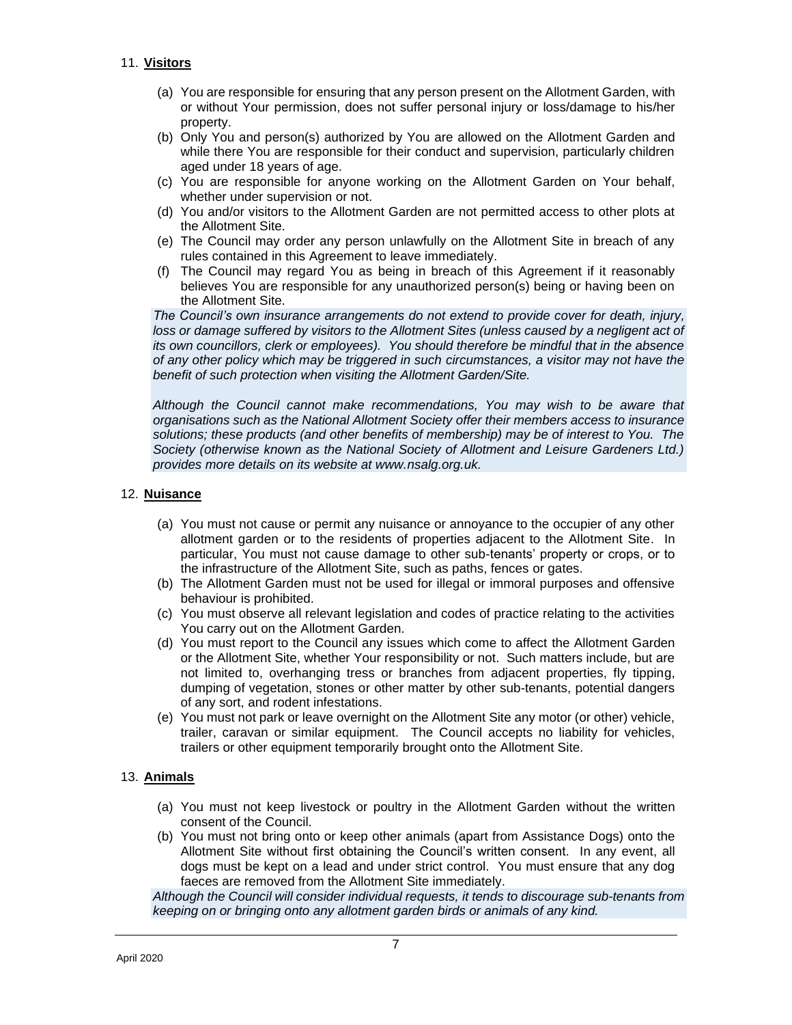# 11. **Visitors**

- (a) You are responsible for ensuring that any person present on the Allotment Garden, with or without Your permission, does not suffer personal injury or loss/damage to his/her property.
- (b) Only You and person(s) authorized by You are allowed on the Allotment Garden and while there You are responsible for their conduct and supervision, particularly children aged under 18 years of age.
- (c) You are responsible for anyone working on the Allotment Garden on Your behalf, whether under supervision or not.
- (d) You and/or visitors to the Allotment Garden are not permitted access to other plots at the Allotment Site.
- (e) The Council may order any person unlawfully on the Allotment Site in breach of any rules contained in this Agreement to leave immediately.
- (f) The Council may regard You as being in breach of this Agreement if it reasonably believes You are responsible for any unauthorized person(s) being or having been on the Allotment Site.

*The Council's own insurance arrangements do not extend to provide cover for death, injury,*  loss or damage suffered by visitors to the Allotment Sites (unless caused by a negligent act of *its own councillors, clerk or employees). You should therefore be mindful that in the absence of any other policy which may be triggered in such circumstances, a visitor may not have the benefit of such protection when visiting the Allotment Garden/Site.*

*Although the Council cannot make recommendations, You may wish to be aware that organisations such as the National Allotment Society offer their members access to insurance solutions; these products (and other benefits of membership) may be of interest to You. The Society (otherwise known as the National Society of Allotment and Leisure Gardeners Ltd.) provides more details on its website at www.nsalg.org.uk.*

# 12. **Nuisance**

- (a) You must not cause or permit any nuisance or annoyance to the occupier of any other allotment garden or to the residents of properties adjacent to the Allotment Site. In particular, You must not cause damage to other sub-tenants' property or crops, or to the infrastructure of the Allotment Site, such as paths, fences or gates.
- (b) The Allotment Garden must not be used for illegal or immoral purposes and offensive behaviour is prohibited.
- (c) You must observe all relevant legislation and codes of practice relating to the activities You carry out on the Allotment Garden.
- (d) You must report to the Council any issues which come to affect the Allotment Garden or the Allotment Site, whether Your responsibility or not. Such matters include, but are not limited to, overhanging tress or branches from adjacent properties, fly tipping, dumping of vegetation, stones or other matter by other sub-tenants, potential dangers of any sort, and rodent infestations.
- (e) You must not park or leave overnight on the Allotment Site any motor (or other) vehicle, trailer, caravan or similar equipment. The Council accepts no liability for vehicles, trailers or other equipment temporarily brought onto the Allotment Site.

# 13. **Animals**

- (a) You must not keep livestock or poultry in the Allotment Garden without the written consent of the Council.
- (b) You must not bring onto or keep other animals (apart from Assistance Dogs) onto the Allotment Site without first obtaining the Council's written consent. In any event, all dogs must be kept on a lead and under strict control. You must ensure that any dog faeces are removed from the Allotment Site immediately.

*Although the Council will consider individual requests, it tends to discourage sub-tenants from keeping on or bringing onto any allotment garden birds or animals of any kind.*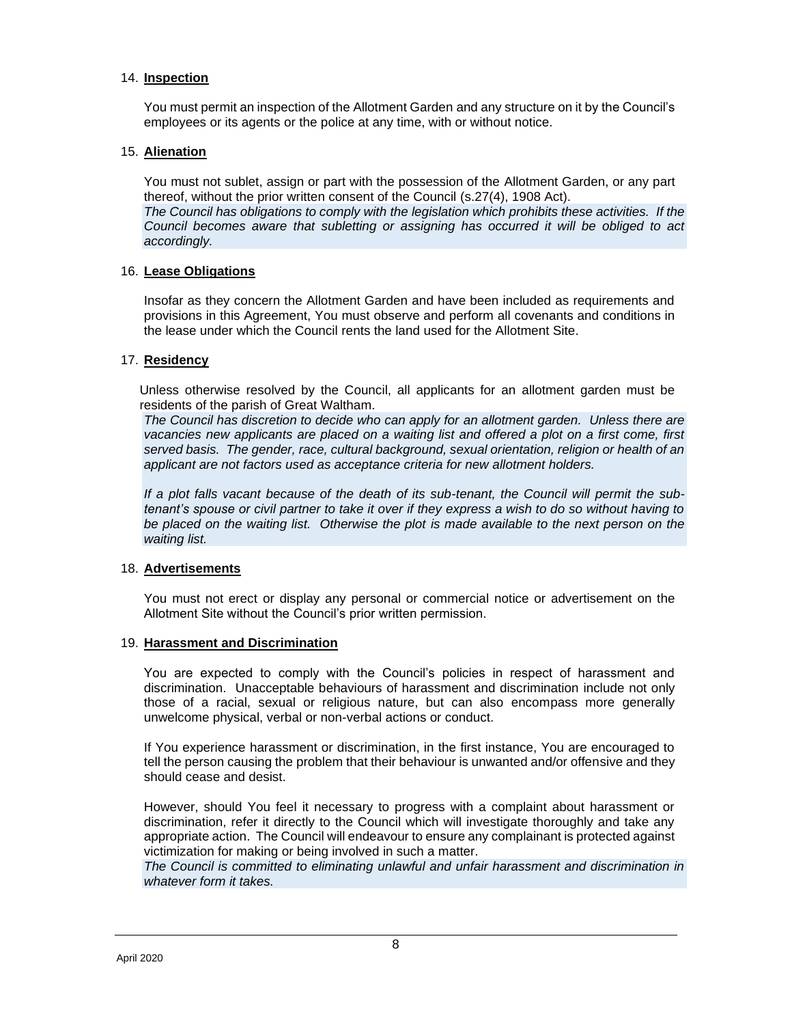#### 14. **Inspection**

You must permit an inspection of the Allotment Garden and any structure on it by the Council's employees or its agents or the police at any time, with or without notice.

#### 15. **Alienation**

You must not sublet, assign or part with the possession of the Allotment Garden, or any part thereof, without the prior written consent of the Council (s.27(4), 1908 Act).

*The Council has obligations to comply with the legislation which prohibits these activities. If the Council becomes aware that subletting or assigning has occurred it will be obliged to act accordingly.*

#### 16. **Lease Obligations**

Insofar as they concern the Allotment Garden and have been included as requirements and provisions in this Agreement, You must observe and perform all covenants and conditions in the lease under which the Council rents the land used for the Allotment Site.

#### 17. **Residency**

Unless otherwise resolved by the Council, all applicants for an allotment garden must be residents of the parish of Great Waltham.

*The Council has discretion to decide who can apply for an allotment garden. Unless there are vacancies new applicants are placed on a waiting list and offered a plot on a first come, first served basis. The gender, race, cultural background, sexual orientation, religion or health of an applicant are not factors used as acceptance criteria for new allotment holders.*

*If a plot falls vacant because of the death of its sub-tenant, the Council will permit the subtenant's spouse or civil partner to take it over if they express a wish to do so without having to*  be placed on the waiting list. Otherwise the plot is made available to the next person on the *waiting list.*

#### 18. **Advertisements**

You must not erect or display any personal or commercial notice or advertisement on the Allotment Site without the Council's prior written permission.

#### 19. **Harassment and Discrimination**

You are expected to comply with the Council's policies in respect of harassment and discrimination. Unacceptable behaviours of harassment and discrimination include not only those of a racial, sexual or religious nature, but can also encompass more generally unwelcome physical, verbal or non-verbal actions or conduct.

If You experience harassment or discrimination, in the first instance, You are encouraged to tell the person causing the problem that their behaviour is unwanted and/or offensive and they should cease and desist.

However, should You feel it necessary to progress with a complaint about harassment or discrimination, refer it directly to the Council which will investigate thoroughly and take any appropriate action. The Council will endeavour to ensure any complainant is protected against victimization for making or being involved in such a matter.

*The Council is committed to eliminating unlawful and unfair harassment and discrimination in whatever form it takes.*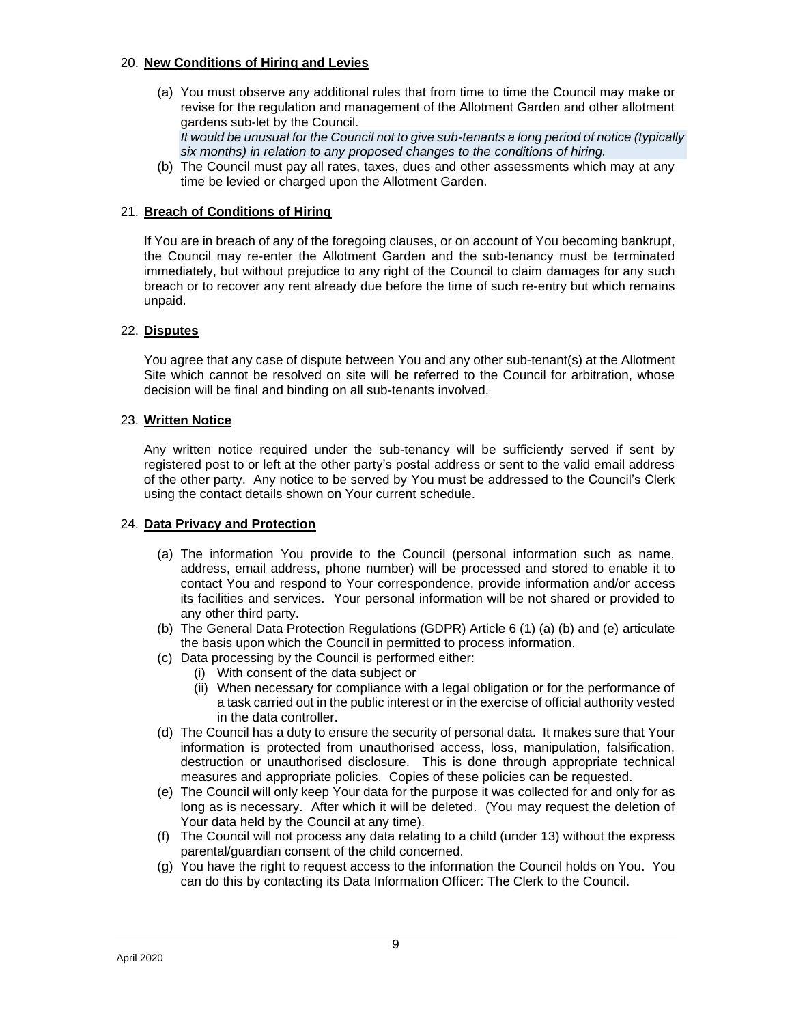#### 20. **New Conditions of Hiring and Levies**

(a) You must observe any additional rules that from time to time the Council may make or revise for the regulation and management of the Allotment Garden and other allotment gardens sub-let by the Council. *It would be unusual for the Council not to give sub-tenants a long period of notice (typically* 

*six months) in relation to any proposed changes to the conditions of hiring.*

(b) The Council must pay all rates, taxes, dues and other assessments which may at any time be levied or charged upon the Allotment Garden.

#### 21. **Breach of Conditions of Hiring**

If You are in breach of any of the foregoing clauses, or on account of You becoming bankrupt, the Council may re-enter the Allotment Garden and the sub-tenancy must be terminated immediately, but without prejudice to any right of the Council to claim damages for any such breach or to recover any rent already due before the time of such re-entry but which remains unpaid.

# 22. **Disputes**

You agree that any case of dispute between You and any other sub-tenant(s) at the Allotment Site which cannot be resolved on site will be referred to the Council for arbitration, whose decision will be final and binding on all sub-tenants involved.

#### 23. **Written Notice**

Any written notice required under the sub-tenancy will be sufficiently served if sent by registered post to or left at the other party's postal address or sent to the valid email address of the other party. Any notice to be served by You must be addressed to the Council's Clerk using the contact details shown on Your current schedule.

#### 24. **Data Privacy and Protection**

- (a) The information You provide to the Council (personal information such as name, address, email address, phone number) will be processed and stored to enable it to contact You and respond to Your correspondence, provide information and/or access its facilities and services. Your personal information will be not shared or provided to any other third party.
- (b) The General Data Protection Regulations (GDPR) Article 6 (1) (a) (b) and (e) articulate the basis upon which the Council in permitted to process information.
- (c) Data processing by the Council is performed either:
	- (i) With consent of the data subject or
	- (ii) When necessary for compliance with a legal obligation or for the performance of a task carried out in the public interest or in the exercise of official authority vested in the data controller.
- (d) The Council has a duty to ensure the security of personal data. It makes sure that Your information is protected from unauthorised access, loss, manipulation, falsification, destruction or unauthorised disclosure. This is done through appropriate technical measures and appropriate policies. Copies of these policies can be requested.
- (e) The Council will only keep Your data for the purpose it was collected for and only for as long as is necessary. After which it will be deleted. (You may request the deletion of Your data held by the Council at any time).
- (f) The Council will not process any data relating to a child (under 13) without the express parental/guardian consent of the child concerned.
- (g) You have the right to request access to the information the Council holds on You. You can do this by contacting its Data Information Officer: The Clerk to the Council.